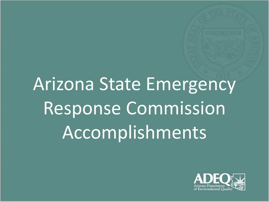## Arizona State Emergency Response Commission Accomplishments

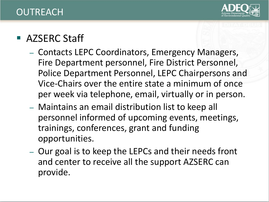

## **OUTREACH**

## ■ AZSERC Staff

- Contacts LEPC Coordinators, Emergency Managers, Fire Department personnel, Fire District Personnel, Police Department Personnel, LEPC Chairpersons and Vice-Chairs over the entire state a minimum of once per week via telephone, email, virtually or in person.
- Maintains an email distribution list to keep all personnel informed of upcoming events, meetings, trainings, conferences, grant and funding opportunities.
- Our goal is to keep the LEPCs and their needs front and center to receive all the support AZSERC can provide.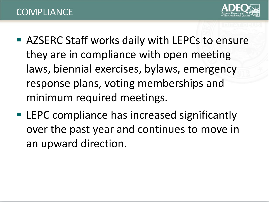

- AZSERC Staff works daily with LEPCs to ensure they are in compliance with open meeting laws, biennial exercises, bylaws, emergency response plans, voting memberships and minimum required meetings.
- LEPC compliance has increased significantly over the past year and continues to move in an upward direction.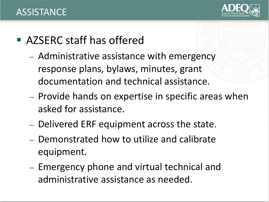

- AZSERC staff has offered
	- Administrative assistance with emergency response plans, bylaws, minutes, grant documentation and technical assistance.
	- Provide hands on expertise in specific areas when asked for assistance.
	- Delivered ERF equipment across the state.
	- Demonstrated how to utilize and calibrate equipment.
	- Emergency phone and virtual technical and administrative assistance as needed.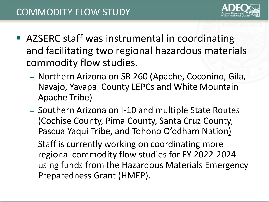- AZSERC staff was instrumental in coordinating and facilitating two regional hazardous materials commodity flow studies.
	- Northern Arizona on SR 260 (Apache, Coconino, Gila, Navajo, Yavapai County LEPCs and White Mountain Apache Tribe)
	- Southern Arizona on I-10 and multiple State Routes (Cochise County, Pima County, Santa Cruz County, Pascua Yaqui Tribe, and Tohono O'odham Nation)
	- Staff is currently working on coordinating more regional commodity flow studies for FY 2022-2024 using funds from the Hazardous Materials Emergency Preparedness Grant (HMEP).